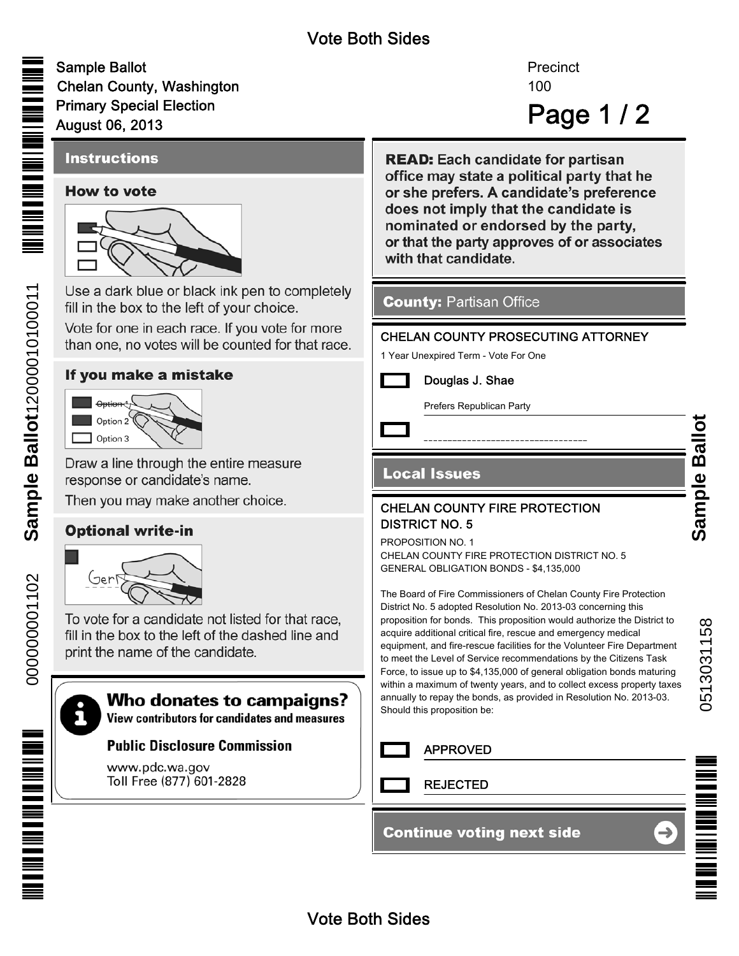# Vote Both Sides

Sample Ballot Chelan County, Washington Primary Special Election August 06, 2013

# 100 Page 1 / 2 **Precinct**

# **Instructions**

#### **How to vote**



Use a dark blue or black ink pen to completely fill in the box to the left of your choice.

Vote for one in each race. If you vote for more than one, no votes will be counted for that race.

#### If you make a mistake



Draw a line through the entire measure response or candidate's name.

Then you may make another choice.

## **Optional write-in**



To vote for a candidate not listed for that race. fill in the box to the left of the dashed line and print the name of the candidate.

# i

## Who donates to campaigns?

**View contributors for candidates and measures** 

#### **Public Disclosure Commission**

www.pdc.wa.gov Toll Free (877) 601-2828 **READ:** Each candidate for partisan office may state a political party that he or she prefers. A candidate's preference does not imply that the candidate is nominated or endorsed by the party, or that the party approves of or associates with that candidate.

#### **County: Partisan Office**

#### CHELAN COUNTY PROSECUTING ATTORNEY

1 Year Unexpired Term - Vote For One



Prefers Republican Party

#### **Local Issues**

#### CHELAN COUNTY FIRE PROTECTION DISTRICT NO. 5

PROPOSITION NO. 1 CHELAN COUNTY FIRE PROTECTION DISTRICT NO. 5 GENERAL OBLIGATION BONDS - \$4,135,000

The Board of Fire Commissioners of Chelan County Fire Protection District No. 5 adopted Resolution No. 2013-03 concerning this proposition for bonds. This proposition would authorize the District to acquire additional critical fire, rescue and emergency medical equipment, and fire-rescue facilities for the Volunteer Fire Department to meet the Level of Service recommendations by the Citizens Task Force, to issue up to \$4,135,000 of general obligation bonds maturing within a maximum of twenty years, and to collect excess property taxes annually to repay the bonds, as provided in Resolution No. 2013-03. Should this proposition be:

APPROVED

REJECTED

#### **Continue voting next side**